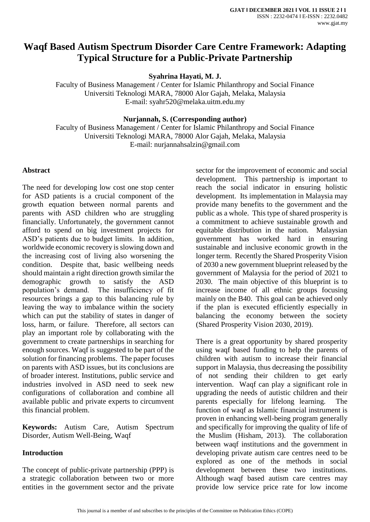# **Waqf Based Autism Spectrum Disorder Care Centre Framework: Adapting Typical Structure for a Public-Private Partnership**

**Syahrina Hayati, M. J.**

Faculty of Business Management / Center for Islamic Philanthropy and Social Finance Universiti Teknologi MARA, 78000 Alor Gajah, Melaka, Malaysia E-mail: syahr520@melaka.uitm.edu.my

**Nurjannah, S. (Corresponding author)**

Faculty of Business Management / Center for Islamic Philanthropy and Social Finance Universiti Teknologi MARA, 78000 Alor Gajah, Melaka, Malaysia E-mail: nurjannahsalzin@gmail.com

### **Abstract**

The need for developing low cost one stop center for ASD patients is a crucial component of the growth equation between normal parents and parents with ASD children who are struggling financially. Unfortunately, the government cannot afford to spend on big investment projects for ASD's patients due to budget limits. In addition, worldwide economic recovery is slowing down and the increasing cost of living also worsening the condition. Despite that, basic wellbeing needs should maintain a right direction growth similar the demographic growth to satisfy the ASD population's demand. The insufficiency of fit resources brings a gap to this balancing rule by leaving the way to imbalance within the society which can put the stability of states in danger of loss, harm, or failure. Therefore, all sectors can play an important role by collaborating with the government to create partnerships in searching for enough sources. Waqf is suggested to be part of the solution for financing problems. The paper focuses on parents with ASD issues, but its conclusions are of broader interest. Institutions, public service and industries involved in ASD need to seek new configurations of collaboration and combine all available public and private experts to circumvent this financial problem.

**Keywords:** Autism Care, Autism Spectrum Disorder, Autism Well-Being, Waqf

# **Introduction**

The concept of public-private partnership (PPP) is a strategic collaboration between two or more entities in the government sector and the private sector for the improvement of economic and social development. This partnership is important to reach the social indicator in ensuring holistic development. Its implementation in Malaysia may provide many benefits to the government and the public as a whole. This type of shared prosperity is a commitment to achieve sustainable growth and equitable distribution in the nation. Malaysian government has worked hard in ensuring sustainable and inclusive economic growth in the longer term. Recently the Shared Prosperity Vision of 2030 a new government blueprint released by the government of Malaysia for the period of 2021 to 2030. The main objective of this blueprint is to increase income of all ethnic groups focusing mainly on the B40. This goal can be achieved only if the plan is executed efficiently especially in balancing the economy between the society (Shared Prosperity Vision 2030, 2019).

There is a great opportunity by shared prosperity using waqf based funding to help the parents of children with autism to increase their financial support in Malaysia, thus decreasing the possibility of not sending their children to get early intervention. Waqf can play a significant role in upgrading the needs of autistic children and their parents especially for lifelong learning. The function of waqf as Islamic financial instrument is proven in enhancing well-being program generally and specifically for improving the quality of life of the Muslim (Hisham, 2013). The collaboration between waqf institutions and the government in developing private autism care centres need to be explored as one of the methods in social development between these two institutions. Although waqf based autism care centres may provide low service price rate for low income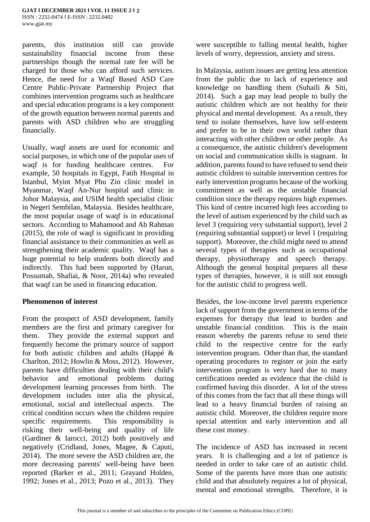parents, this institution still can provide sustainability financial income from these partnerships though the normal rate fee will be charged for those who can afford such services. Hence, the need for a Waqf Based ASD Care Centre Public-Private Partnership Project that combines intervention programs such as healthcare and special education programs is a key component of the growth equation between normal parents and parents with ASD children who are struggling financially.

Usually, waqf assets are used for economic and social purposes, in which one of the popular uses of waqf is for funding healthcare centres. For example, 50 hospitals in Egypt, Fatih Hospital in Istanbul, Myint Myat Phu Zin clinic model in Myanmar, Waqf An-Nur hospital and clinic in Johor Malaysia, and USIM health specialist clinic in Negeri Sembilan, Malaysia. Besides healthcare, the most popular usage of waqf is in educational sectors. According to Mahamood and Ab Rahman (2015), the role of waqf is significant in providing financial assistance to their communities as well as strengthening their academic quality. Waqf has a huge potential to help students both directly and indirectly. This had been supported by (Harun, Possumah, Shafiai, & Noor, 2014a) who revealed that waqf can be used in financing education.

### **Phenomenon of interest**

From the prospect of ASD development, family members are the first and primary caregiver for them. They provide the external support and frequently become the primary source of support for both autistic children and adults (Happé & Charlton, 2012; Howlin & Moss, 2012). However, parents have difficulties dealing with their child's behavior and emotional problems during development learning processes from birth. The development includes inter alia the physical, emotional, social and intellectual aspects. The critical condition occurs when the children require specific requirements. This responsibility is risking their well-being and quality of life (Gardiner & Iarocci, 2012) both positively and negatively (Cridland, Jones, Magee, & Caputi, 2014). The more severe the ASD children are, the more decreasing parents' well-being have been reported (Barker et al., 2011; Grayand Holden, 1992; Jones et al., 2013; Pozo et al., 2013). They

were susceptible to falling mental health, higher levels of worry, depression, anxiety and stress.

In Malaysia, autism issues are getting less attention from the public due to lack of experience and knowledge on handling them (Suhaili & Siti, 2014). Such a gap may lead people to bully the autistic children which are not healthy for their physical and mental development. As a result, they tend to isolate themselves, have low self-esteem and prefer to be in their own world rather than interacting with other children or other people. As a consequence, the autistic children's development on social and communication skills is stagnant. In addition, parents found to have refused to send their autistic children to suitable intervention centres for early intervention programs because of the working commitment as well as the unstable financial condition since the therapy requires high expenses. This kind of centre incurred high fees according to the level of autism experienced by the child such as level 3 (requiring very substantial support), level 2 (requiring substantial support) or level 1 (requiring support). Moreover, the child might need to attend several types of therapies such as occupational therapy, physiotherapy and speech therapy. Although the general hospital prepares all these types of therapies, however, it is still not enough for the autistic child to progress well.

Besides, the low-income level parents experience lack of support from the government in terms of the expenses for therapy that lead to burden and unstable financial condition. This is the main reason whereby the parents refuse to send their child to the respective centre for the early intervention program. Other than that, the standard operating procedures to register or join the early intervention program is very hard due to many certifications needed as evidence that the child is confirmed having this disorder. A lot of the stress of this comes from the fact that all these things will lead to a heavy financial burden of raising an autistic child. Moreover, the children require more special attention and early intervention and all these cost money.

The incidence of ASD has increased in recent years. It is challenging and a lot of patience is needed in order to take care of an autistic child. Some of the parents have more than one autistic child and that absolutely requires a lot of physical, mental and emotional strengths. Therefore, it is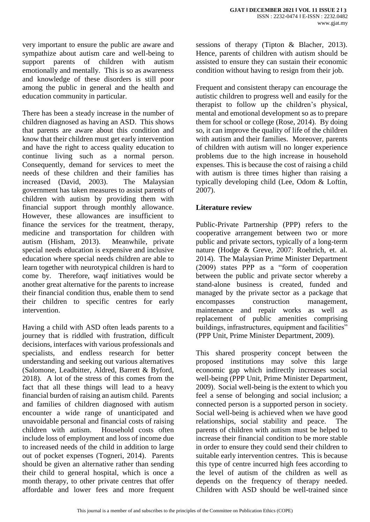very important to ensure the public are aware and sympathize about autism care and well-being to support parents of children with autism emotionally and mentally. This is so as awareness and knowledge of these disorders is still poor among the public in general and the health and education community in particular.

There has been a steady increase in the number of children diagnosed as having an ASD. This shows that parents are aware about this condition and know that their children must get early intervention and have the right to access quality education to continue living such as a normal person. Consequently, demand for services to meet the needs of these children and their families has increased (David, 2003). The Malaysian government has taken measures to assist parents of children with autism by providing them with financial support through monthly allowance. However, these allowances are insufficient to finance the services for the treatment, therapy, medicine and transportation for children with autism (Hisham, 2013). Meanwhile, private special needs education is expensive and inclusive education where special needs children are able to learn together with neurotypical children is hard to come by. Therefore, waqf initiatives would be another great alternative for the parents to increase their financial condition thus, enable them to send their children to specific centres for early intervention.

Having a child with ASD often leads parents to a journey that is riddled with frustration, difficult decisions, interfaces with various professionals and specialists, and endless research for better understanding and seeking out various alternatives (Salomone, Leadbitter, Aldred, Barrett & Byford, 2018). A lot of the stress of this comes from the fact that all these things will lead to a heavy financial burden of raising an autism child. Parents and families of children diagnosed with autism encounter a wide range of unanticipated and unavoidable personal and financial costs of raising children with autism. Household costs often include loss of employment and loss of income due to increased needs of the child in addition to large out of pocket expenses (Togneri, 2014). Parents should be given an alternative rather than sending their child to general hospital, which is once a month therapy, to other private centres that offer affordable and lower fees and more frequent sessions of therapy (Tipton & Blacher, 2013). Hence, parents of children with autism should be assisted to ensure they can sustain their economic condition without having to resign from their job.

Frequent and consistent therapy can encourage the autistic children to progress well and easily for the therapist to follow up the children's physical, mental and emotional development so as to prepare them for school or college (Rose, 2014). By doing so, it can improve the quality of life of the children with autism and their families. Moreover, parents of children with autism will no longer experience problems due to the high increase in household expenses. This is because the cost of raising a child with autism is three times higher than raising a typically developing child (Lee, Odom & Loftin, 2007).

# **Literature review**

Public-Private Partnership (PPP) refers to the cooperative arrangement between two or more public and private sectors, typically of a long-term nature (Hodge & Greve, 2007: Roehrich, et. al. 2014). The Malaysian Prime Minister Department (2009) states PPP as a "form of cooperation between the public and private sector whereby a stand-alone business is created, funded and managed by the private sector as a package that encompasses construction management, maintenance and repair works as well as replacement of public amenities comprising buildings, infrastructures, equipment and facilities" (PPP Unit, Prime Minister Department, 2009).

This shared prosperity concept between the proposed institutions may solve this large economic gap which indirectly increases social well-being (PPP Unit, Prime Minister Department, 2009). Social well-being is the extent to which you feel a sense of belonging and social inclusion; a connected person is a supported person in society. Social well-being is achieved when we have good relationships, social stability and peace. The parents of children with autism must be helped to increase their financial condition to be more stable in order to ensure they could send their children to suitable early intervention centres. This is because this type of centre incurred high fees according to the level of autism of the children as well as depends on the frequency of therapy needed. Children with ASD should be well-trained since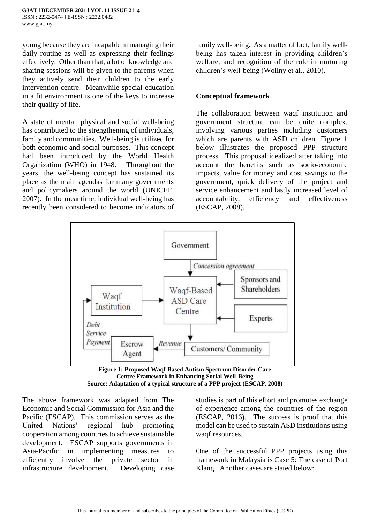young because they are incapable in managing their daily routine as well as expressing their feelings effectively. Other than that, a lot of knowledge and sharing sessions will be given to the parents when they actively send their children to the early intervention centre. Meanwhile special education in a fit environment is one of the keys to increase their quality of life.

A state of mental, physical and social well-being has contributed to the strengthening of individuals, family and communities. Well-being is utilized for both economic and social purposes. This concept had been introduced by the World Health Organization (WHO) in 1948. Throughout the years, the well-being concept has sustained its place as the main agendas for many governments and policymakers around the world (UNICEF, 2007). In the meantime, individual well-being has recently been considered to become indicators of family well-being. As a matter of fact, family wellbeing has taken interest in providing children's welfare, and recognition of the role in nurturing children's well-being (Wollny et al., 2010).

#### **Conceptual framework**

The collaboration between waqf institution and government structure can be quite complex, involving various parties including customers which are parents with ASD children. Figure 1 below illustrates the proposed PPP structure process. This proposal idealized after taking into account the benefits such as socio-economic impacts, value for money and cost savings to the government, quick delivery of the project and service enhancement and lastly increased level of accountability, efficiency and effectiveness (ESCAP, 2008).



**Figure 1: Proposed Waqf Based Autism Spectrum Disorder Care Centre Framework in Enhancing Social Well-Being Source: Adaptation of a typical structure of a PPP project (ESCAP, 2008)**

The above framework was adapted from The Economic and Social Commission for Asia and the Pacific (ESCAP). This commission serves as the United Nations' regional hub promoting cooperation among countries to achieve sustainable development. ESCAP supports governments in Asia-Pacific in implementing measures to efficiently involve the private sector in infrastructure development. Developing case

studies is part of this effort and promotes exchange of experience among the countries of the region (ESCAP, 2016). The success is proof that this model can be used to sustain ASD institutions using waqf resources.

One of the successful PPP projects using this framework in Malaysia is Case 5: The case of Port Klang. Another cases are stated below: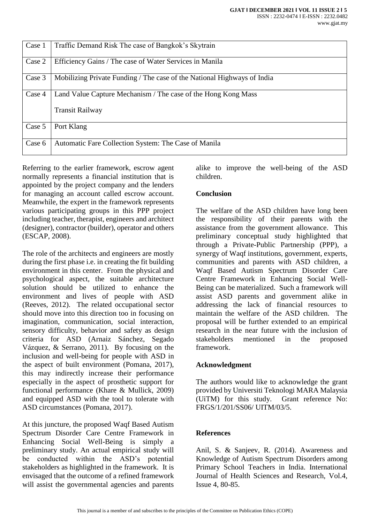| Case 1 | Traffic Demand Risk The case of Bangkok's Skytrain                      |
|--------|-------------------------------------------------------------------------|
| Case 2 | Efficiency Gains / The case of Water Services in Manila                 |
| Case 3 | Mobilizing Private Funding / The case of the National Highways of India |
| Case 4 | Land Value Capture Mechanism / The case of the Hong Kong Mass           |
|        | <b>Transit Railway</b>                                                  |
| Case 5 | Port Klang                                                              |
| Case 6 | Automatic Fare Collection System: The Case of Manila                    |

Referring to the earlier framework, escrow agent normally represents a financial institution that is appointed by the project company and the lenders for managing an account called escrow account. Meanwhile, the expert in the framework represents various participating groups in this PPP project including teacher, therapist, engineers and architect (designer), contractor (builder), operator and others (ESCAP, 2008).

The role of the architects and engineers are mostly during the first phase i.e. in creating the fit building environment in this center. From the physical and psychological aspect, the suitable architecture solution should be utilized to enhance the environment and lives of people with ASD (Reeves, 2012). The related occupational sector should move into this direction too in focusing on imagination, communication, social interaction, sensory difficulty, behavior and safety as design criteria for ASD (Arnaiz Sánchez, Segado Vázquez, & Serrano, 2011). By focusing on the inclusion and well-being for people with ASD in the aspect of built environment (Pomana, 2017), this may indirectly increase their performance especially in the aspect of prosthetic support for functional performance (Khare & Mullick, 2009) and equipped ASD with the tool to tolerate with ASD circumstances (Pomana, 2017).

At this juncture, the proposed Waqf Based Autism Spectrum Disorder Care Centre Framework in Enhancing Social Well-Being is simply a preliminary study. An actual empirical study will be conducted within the ASD's potential stakeholders as highlighted in the framework. It is envisaged that the outcome of a refined framework will assist the governmental agencies and parents

alike to improve the well-being of the ASD children.

# **Conclusion**

The welfare of the ASD children have long been the responsibility of their parents with the assistance from the government allowance. This preliminary conceptual study highlighted that through a Private-Public Partnership (PPP), a synergy of Waqf institutions, government, experts, communities and parents with ASD children, a Waqf Based Autism Spectrum Disorder Care Centre Framework in Enhancing Social Well-Being can be materialized. Such a framework will assist ASD parents and government alike in addressing the lack of financial resources to maintain the welfare of the ASD children. The proposal will be further extended to an empirical research in the near future with the inclusion of stakeholders mentioned in the proposed framework.

### **Acknowledgment**

The authors would like to acknowledge the grant provided by Universiti Teknologi MARA Malaysia (UiTM) for this study. Grant reference No: FRGS/1/201/SS06/ UITM/03/5.

# **References**

Anil, S. & Sanjeev, R. (2014). Awareness and Knowledge of Autism Spectrum Disorders among Primary School Teachers in India. International Journal of Health Sciences and Research, Vol.4, Issue 4, 80-85.